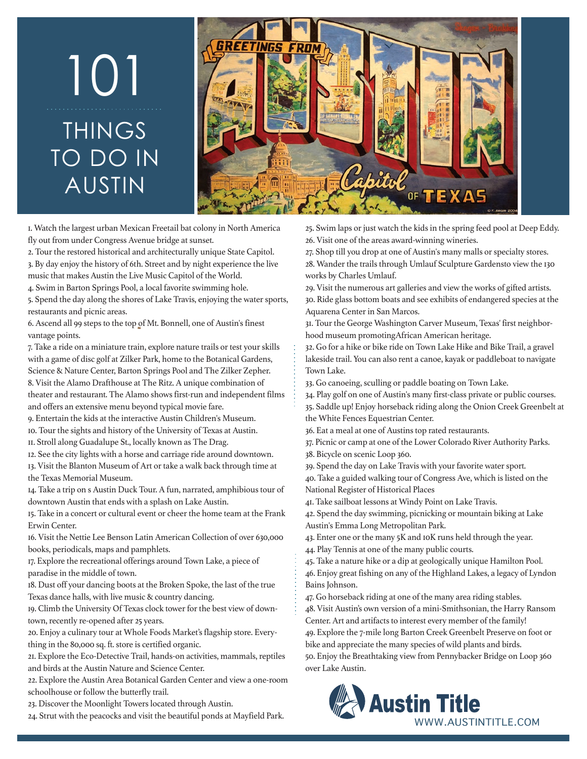## TO DO II<br>AUSTIN<br>AUSTIN<br>STIN<br>SUSTIN<br>Solution under Congress Aven<br>Tour the restored historical and<br>In By day enjoy the history of 6th. S<br>Not alway enjoy the history of 6th. S<br>Not alway alway the shores of Spend the day along TO DO IN AUSTIN 101



1. Watch the largest urban Mexican Freetail bat colony in North America fly out from under Congress Avenue bridge at sunset.

2. Tour the restored historical and architecturally unique State Capitol. 3. By day enjoy the history of 6th. Street and by night experience the live music that makes Austin the Live Music Capitol of the World.

4. Swim in Barton Springs Pool, a local favorite swimming hole.

5. Spend the day along the shores of Lake Travis, enjoying the water sports, restaurants and picnic areas.

6. Ascend all 99 steps to the top of Mt. Bonnell, one of Austin's finest vantage points.

7. Take a ride on a miniature train, explore nature trails or test your skills with a game of disc golf at Zilker Park, home to the Botanical Gardens, Science & Nature Center, Barton Springs Pool and The Zilker Zepher. 8. Visit the Alamo Drafthouse at The Ritz. A unique combination of theater and restaurant. The Alamo shows first-run and independent films

and offers an extensive menu beyond typical movie fare. 9. Entertain the kids at the interactive Austin Children's Museum.

10. Tour the sights and history of the University of Texas at Austin.

11. Stroll along Guadalupe St., locally known as The Drag.

12. See the city lights with a horse and carriage ride around downtown.

13. Visit the Blanton Museum of Art or take a walk back through time at the Texas Memorial Museum.

14. Take a trip on s Austin Duck Tour. A fun, narrated, amphibious tour of downtown Austin that ends with a splash on Lake Austin.

15. Take in a concert or cultural event or cheer the home team at the Frank Erwin Center.

16. Visit the Nettie Lee Benson Latin American Collection of over 630,000 books, periodicals, maps and pamphlets.

17. Explore the recreational offerings around Town Lake, a piece of paradise in the middle of town.

18. Dust off your dancing boots at the Broken Spoke, the last of the true Texas dance halls, with live music & country dancing.

19. Climb the University Of Texas clock tower for the best view of downtown, recently re-opened after 25 years.

20. Enjoy a culinary tour at Whole Foods Market's flagship store. Everything in the 80,000 sq. ft. store is certified organic.

21. Explore the Eco-Detective Trail, hands-on activities, mammals, reptiles and birds at the Austin Nature and Science Center.

22. Explore the Austin Area Botanical Garden Center and view a one-room schoolhouse or follow the butterfly trail.

23. Discover the Moonlight Towers located through Austin.

24. Strut with the peacocks and visit the beautiful ponds at Mayfield Park.

25. Swim laps or just watch the kids in the spring feed pool at Deep Eddy. 26. Visit one of the areas award-winning wineries.

27. Shop till you drop at one of Austin's many malls or specialty stores. 28. Wander the trails through Umlauf Sculpture Gardensto view the 130 works by Charles Umlauf.

29. Visit the numerous art galleries and view the works of gifted artists. 30. Ride glass bottom boats and see exhibits of endangered species at the Aquarena Center in San Marcos.

31. Tour the George Washington Carver Museum, Texas' first neighborhood museum promotingAfrican American heritage.

32. Go for a hike or bike ride on Town Lake Hike and Bike Trail, a gravel lakeside trail. You can also rent a canoe, kayak or paddleboat to navigate Town Lake.

33. Go canoeing, sculling or paddle boating on Town Lake.

34. Play golf on one of Austin's many first-class private or public courses.

35. Saddle up! Enjoy horseback riding along the Onion Creek Greenbelt at the White Fences Equestrian Center.

36. Eat a meal at one of Austins top rated restaurants.

37. Picnic or camp at one of the Lower Colorado River Authority Parks. 38. Bicycle on scenic Loop 360.

39. Spend the day on Lake Travis with your favorite water sport.

40. Take a guided walking tour of Congress Ave, which is listed on the National Register of Historical Places

41. Take sailboat lessons at Windy Point on Lake Travis.

42. Spend the day swimming, picnicking or mountain biking at Lake Austin's Emma Long Metropolitan Park.

43. Enter one or the many 5K and 10K runs held through the year. 44. Play Tennis at one of the many public courts.

45. Take a nature hike or a dip at geologically unique Hamilton Pool. 46. Enjoy great fishing on any of the Highland Lakes, a legacy of Lyndon Bains Johnson.

47. Go horseback riding at one of the many area riding stables.

48. Visit Austin's own version of a mini-Smithsonian, the Harry Ransom Center. Art and artifacts to interest every member of the family! 49. Explore the 7-mile long Barton Creek Greenbelt Preserve on foot or bike and appreciate the many species of wild plants and birds.

50. Enjoy the Breathtaking view from Pennybacker Bridge on Loop 360 over Lake Austin.